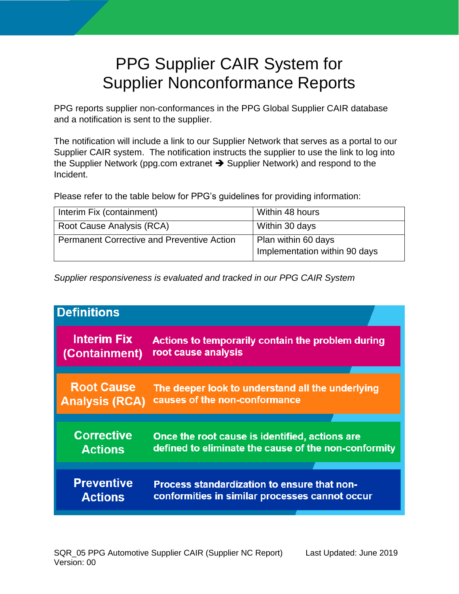# PPG Supplier CAIR System for Supplier Nonconformance Reports

PPG reports supplier non-conformances in the PPG Global Supplier CAIR database and a notification is sent to the supplier.

The notification will include a link to our Supplier Network that serves as a portal to our Supplier CAIR system. The notification instructs the supplier to use the link to log into the Supplier Network (ppg.com extranet  $\rightarrow$  [Supplier Network\)](https://corporate.ppg.com/Purchasing/PPG-Supplier-Network/) and respond to the Incident.

Please refer to the table below for PPG's guidelines for providing information:

| Interim Fix (containment)                         | Within 48 hours                                      |
|---------------------------------------------------|------------------------------------------------------|
| Root Cause Analysis (RCA)                         | Within 30 days                                       |
| <b>Permanent Corrective and Preventive Action</b> | Plan within 60 days<br>Implementation within 90 days |

*Supplier responsiveness is evaluated and tracked in our PPG CAIR System*

| <b>Definitions</b>    |                                                      |
|-----------------------|------------------------------------------------------|
| <b>Interim Fix</b>    | Actions to temporarily contain the problem during    |
| (Containment)         | root cause analysis                                  |
| <b>Root Cause</b>     | The deeper look to understand all the underlying     |
| <b>Analysis (RCA)</b> | causes of the non-conformance                        |
| <b>Corrective</b>     | Once the root cause is identified, actions are       |
| <b>Actions</b>        | defined to eliminate the cause of the non-conformity |
| <b>Preventive</b>     | Process standardization to ensure that non-          |
| <b>Actions</b>        | conformities in similar processes cannot occur       |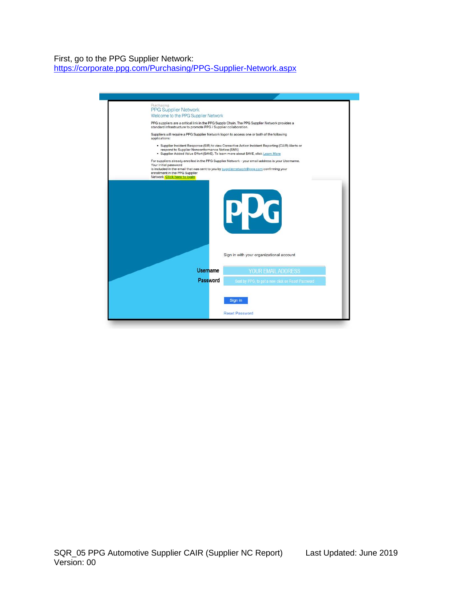## First, go to the PPG Supplier Network: <https://corporate.ppg.com/Purchasing/PPG-Supplier-Network.aspx>

| Purchasing<br><b>PPG Supplier Network</b>                                                                                                                                                                                                                                                |
|------------------------------------------------------------------------------------------------------------------------------------------------------------------------------------------------------------------------------------------------------------------------------------------|
| Welcome to the PPG Supplier Network                                                                                                                                                                                                                                                      |
| PPG suppliers are a critical link in the PPG Supply Chain. The PPG Supplier Network provides a<br>standard infrastructure to promote PPG / Supplier collaboration.                                                                                                                       |
| Suppliers will require a PPG Supplier Network logon to access one or both of the following<br>applications:                                                                                                                                                                              |
| . Supplier Incident Response (SIR) to view Corrective Action Incident Reporting (CAIR) Alerts or<br>respond to Supplier Nonconformance Notice (SNN)<br>· Supplier Added Value Effort (\$AVE). To learn more about \$AVE, click Learn More                                                |
| For suppliers already enrolled in the PPG Supplier Network - your email address is your Username.<br>Your initial password<br>is included in the email that was sent to you by suppliernetwork@ppg.com confirming your<br>enrollment in the PPG Supplier<br>Network. Click here to login |
| PUG                                                                                                                                                                                                                                                                                      |
| Sign in with your organizational account                                                                                                                                                                                                                                                 |
| Username<br>YOUR EMAIL ADDRESS                                                                                                                                                                                                                                                           |
| Password<br>Sent by PPG, to get a new click on Reset Password                                                                                                                                                                                                                            |
| Sign in                                                                                                                                                                                                                                                                                  |
| <b>Reset Password</b>                                                                                                                                                                                                                                                                    |
|                                                                                                                                                                                                                                                                                          |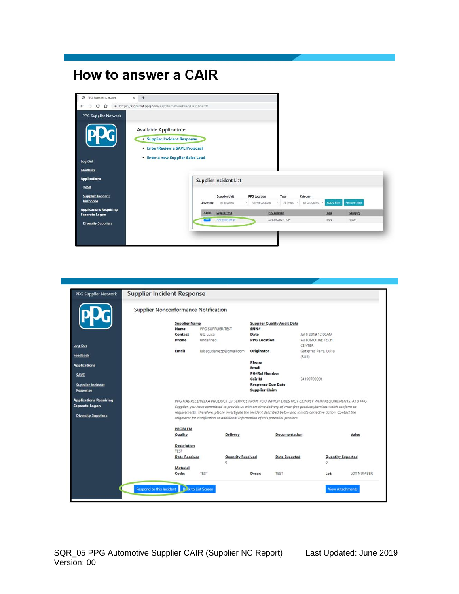## **How to answer a CAIR**



|                                             | <b>Supplier Nonconformance Notification</b> |           |                                                                                                                                                                                                           |                                                   |                                    |                                 |                          |            |
|---------------------------------------------|---------------------------------------------|-----------|-----------------------------------------------------------------------------------------------------------------------------------------------------------------------------------------------------------|---------------------------------------------------|------------------------------------|---------------------------------|--------------------------|------------|
|                                             | <b>Supplier Name</b>                        |           |                                                                                                                                                                                                           |                                                   | <b>Supplier Quality Audit Data</b> |                                 |                          |            |
|                                             | Name                                        |           | PPG SUPPLIER TEST                                                                                                                                                                                         | SNN#                                              |                                    |                                 |                          |            |
|                                             | Contact                                     | Gtz Luisa |                                                                                                                                                                                                           | Date                                              |                                    | Jul 8 2019 12:00AM              |                          |            |
|                                             | <b>Phone</b>                                | undefined |                                                                                                                                                                                                           | <b>PPG</b> Location                               |                                    | AUTOMOTIVE TECH                 |                          |            |
| Log Out                                     |                                             |           |                                                                                                                                                                                                           |                                                   |                                    | CENTER                          |                          |            |
| Feedback                                    | Email                                       |           | luisagutierrezp@gmail.com                                                                                                                                                                                 | Originator                                        |                                    | Gutierrez Parra, Luisa<br>(RUB) |                          |            |
|                                             |                                             |           |                                                                                                                                                                                                           | Phone                                             |                                    |                                 |                          |            |
| <b>Applications</b>                         |                                             |           |                                                                                                                                                                                                           | Email                                             |                                    |                                 |                          |            |
| SAVE                                        |                                             |           |                                                                                                                                                                                                           | <b>PO/Rel Number</b>                              |                                    |                                 |                          |            |
|                                             |                                             |           |                                                                                                                                                                                                           | Cair Id                                           |                                    | 24190700001                     |                          |            |
| <b>Supplier Incident</b><br><b>Response</b> |                                             |           |                                                                                                                                                                                                           | <b>Response Due Date</b><br><b>Supplier Claim</b> |                                    |                                 |                          |            |
| <b>Applications Requiring</b>               |                                             |           | PPG HAS RECEIVED A PRODUCT OF SERVICE FROM YOU WHICH DOES NOT COMPLY WITH REQUIREMENTS. As a PPG                                                                                                          |                                                   |                                    |                                 |                          |            |
| <b>Separate Logon</b>                       |                                             |           | Supplier, you have committed to provide us with on-time delivery of error-free products/services which conform to                                                                                         |                                                   |                                    |                                 |                          |            |
| <b>Diversity Suppliers</b>                  |                                             |           | requirements. Therefore, please investigate the incident described below and initiate corrective action. Contact the<br>originator for clarification or additional information of this potential problem. |                                                   |                                    |                                 |                          |            |
|                                             | <b>PROBLEM</b>                              |           |                                                                                                                                                                                                           |                                                   |                                    |                                 |                          |            |
|                                             | Quality                                     |           | Delivery                                                                                                                                                                                                  |                                                   | Documentation                      |                                 |                          | Value      |
|                                             | Description<br>TEST                         |           |                                                                                                                                                                                                           |                                                   |                                    |                                 |                          |            |
|                                             | <b>Date Received</b>                        |           | <b>Quantity Received</b><br>$\Omega$                                                                                                                                                                      |                                                   | <b>Date Expected</b>               | o                               | <b>Quantity Expected</b> |            |
|                                             | Material                                    |           |                                                                                                                                                                                                           |                                                   |                                    |                                 |                          |            |
|                                             | Code:                                       | TEST      |                                                                                                                                                                                                           | Descr:                                            | <b>TEST</b>                        |                                 | Lot                      | LOT NUMBER |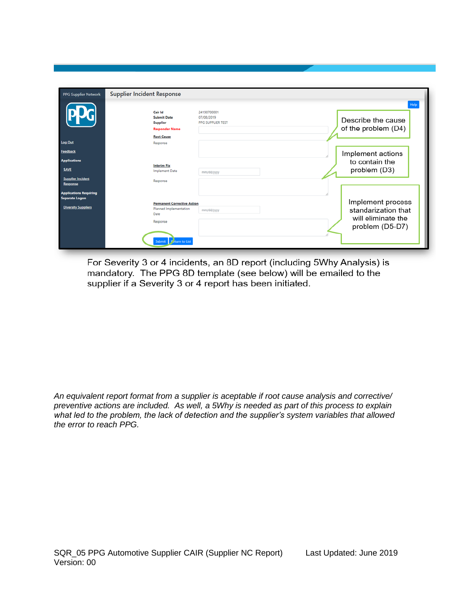| <b>PPG Supplier Network</b>                            | <b>Supplier Incident Response</b>                                                                                                                                                                            |  |
|--------------------------------------------------------|--------------------------------------------------------------------------------------------------------------------------------------------------------------------------------------------------------------|--|
|                                                        | <b>Help</b><br>24190700001<br>Cair Id<br><b>Submit Date</b><br>07/08/2019<br>Describe the cause<br><b>Supplier</b><br>PPG SUPPLIER TEST<br>of the problem (D4)<br><b>Responder Name</b><br><b>Root Cause</b> |  |
| <b>Log Out</b>                                         | Response                                                                                                                                                                                                     |  |
| Feedback                                               | Implement actions                                                                                                                                                                                            |  |
| <b>Applications</b>                                    | to contain the                                                                                                                                                                                               |  |
| <b>SAVE</b>                                            | <b>Interim Fix</b><br>problem (D3)<br><b>Implement Date</b><br>mm/dd/yyyy                                                                                                                                    |  |
| <b>Supplier Incident</b><br>Response                   | Response                                                                                                                                                                                                     |  |
| <b>Applications Requiring</b><br><b>Separate Logon</b> |                                                                                                                                                                                                              |  |
| <b>Diversity Suppliers</b>                             | Implement process<br><b>Permanent Corrective Action</b><br>Planned Implementation<br>standarization that<br>mm/dd/yyyy<br>Date<br>will eliminate the<br>Response<br>problem (D5-D7)<br>Submit Peturn to List |  |

For Severity 3 or 4 incidents, an 8D report (including 5Why Analysis) is mandatory. The PPG 8D template (see below) will be emailed to the supplier if a Severity 3 or 4 report has been initiated.

*An equivalent report format from a supplier is aceptable if root cause analysis and corrective/ preventive actions are included. As well, a 5Why is needed as part of this process to explain what led to the problem, the lack of detection and the supplier's system variables that allowed the error to reach PPG.*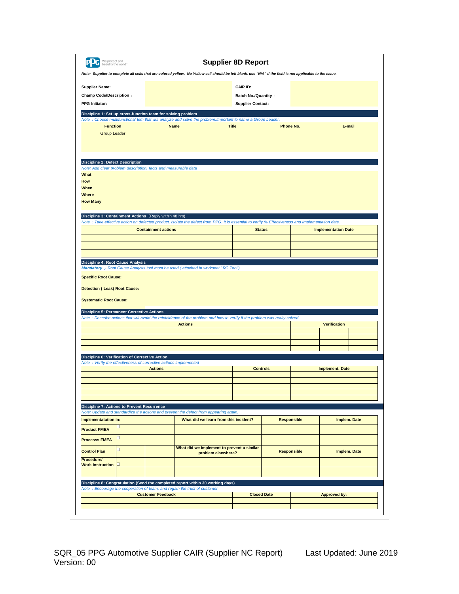| We protect and<br>beautify the world"                                                                                                                                                                                                                                                  |                                            | <b>Supplier 8D Report</b>  |                    |                            |  |
|----------------------------------------------------------------------------------------------------------------------------------------------------------------------------------------------------------------------------------------------------------------------------------------|--------------------------------------------|----------------------------|--------------------|----------------------------|--|
| Note: Supplier to complete all cells that are colored yellow. No Yellow cell should be left blank, use "N/A" if the field is not applicable to the issue.                                                                                                                              |                                            |                            |                    |                            |  |
| <b>Supplier Name:</b>                                                                                                                                                                                                                                                                  |                                            | CAIR ID:                   |                    |                            |  |
| <b>Champ Code/Description:</b>                                                                                                                                                                                                                                                         |                                            | <b>Batch No./Quantity:</b> |                    |                            |  |
| <b>PPG Initiator:</b>                                                                                                                                                                                                                                                                  |                                            | <b>Supplier Contact:</b>   |                    |                            |  |
| Discipline 1: Set up cross-function team for solving problem                                                                                                                                                                                                                           |                                            |                            |                    |                            |  |
| Note : Choose multifunctional tem that will analyze and solve the problem. Important to name a Group Leader.<br><b>Function</b>                                                                                                                                                        | <b>Name</b>                                | <b>Title</b>               | Phone No.          | E-mail                     |  |
| <b>Group Leader</b>                                                                                                                                                                                                                                                                    |                                            |                            |                    |                            |  |
|                                                                                                                                                                                                                                                                                        |                                            |                            |                    |                            |  |
|                                                                                                                                                                                                                                                                                        |                                            |                            |                    |                            |  |
| <b>Discipline 2: Defect Description</b>                                                                                                                                                                                                                                                |                                            |                            |                    |                            |  |
| Note: Add clear problem description, facts and measurable data                                                                                                                                                                                                                         |                                            |                            |                    |                            |  |
| What                                                                                                                                                                                                                                                                                   |                                            |                            |                    |                            |  |
| How                                                                                                                                                                                                                                                                                    |                                            |                            |                    |                            |  |
| When<br><b>Where</b>                                                                                                                                                                                                                                                                   |                                            |                            |                    |                            |  |
| <b>How Many</b>                                                                                                                                                                                                                                                                        |                                            |                            |                    |                            |  |
|                                                                                                                                                                                                                                                                                        |                                            |                            |                    |                            |  |
| Discipline 3: Containment Actions (Reply within 48 hrs)                                                                                                                                                                                                                                |                                            |                            |                    |                            |  |
| Note: Take effective action on defected product, isolate the defect from PPG. It is essential to verify % Effectiveness and implementation date.                                                                                                                                       |                                            |                            |                    |                            |  |
| <b>Containment actions</b>                                                                                                                                                                                                                                                             |                                            | <b>Status</b>              |                    | <b>Implementation Date</b> |  |
|                                                                                                                                                                                                                                                                                        |                                            |                            |                    |                            |  |
|                                                                                                                                                                                                                                                                                        |                                            |                            |                    |                            |  |
|                                                                                                                                                                                                                                                                                        |                                            |                            |                    |                            |  |
| Discipline 4: Root Cause Analysis                                                                                                                                                                                                                                                      |                                            |                            |                    |                            |  |
|                                                                                                                                                                                                                                                                                        |                                            |                            |                    |                            |  |
|                                                                                                                                                                                                                                                                                        |                                            |                            |                    |                            |  |
| <b>Specific Root Cause:</b><br><b>Detection (Leak) Root Cause:</b><br><b>Systematic Root Cause:</b><br><b>Discipline 5: Permanent Corrective Actions</b><br>Note : Describe actions that will avoid the reinicidence of the problem and how to verify if the problem was really solved | <b>Actions</b>                             |                            |                    | <b>Verification</b>        |  |
|                                                                                                                                                                                                                                                                                        |                                            |                            |                    |                            |  |
|                                                                                                                                                                                                                                                                                        |                                            |                            |                    |                            |  |
|                                                                                                                                                                                                                                                                                        |                                            |                            |                    |                            |  |
|                                                                                                                                                                                                                                                                                        |                                            |                            |                    |                            |  |
| <b>Actions</b>                                                                                                                                                                                                                                                                         |                                            | <b>Controls</b>            |                    | <b>Implement. Date</b>     |  |
|                                                                                                                                                                                                                                                                                        |                                            |                            |                    |                            |  |
|                                                                                                                                                                                                                                                                                        |                                            |                            |                    |                            |  |
| Discipline 6: Verification of Corrective Action<br>Note: Verify the effectiveness of corrective actions implemented                                                                                                                                                                    |                                            |                            |                    |                            |  |
|                                                                                                                                                                                                                                                                                        |                                            |                            |                    |                            |  |
|                                                                                                                                                                                                                                                                                        |                                            |                            |                    |                            |  |
|                                                                                                                                                                                                                                                                                        |                                            |                            |                    |                            |  |
| $\Box$                                                                                                                                                                                                                                                                                 | What did we learn from this incident?      |                            | <b>Responsible</b> | Implem. Date               |  |
|                                                                                                                                                                                                                                                                                        |                                            |                            |                    |                            |  |
| $\Box$                                                                                                                                                                                                                                                                                 |                                            |                            |                    |                            |  |
| $\Box$                                                                                                                                                                                                                                                                                 | What did we implement to prevent a similar |                            |                    |                            |  |
| <b>Discipline 7: Actions to Prevent Recurrence</b><br>Note: Update and standardize the actions and prevent the defect from appearing again.<br>Implementatation in:<br><b>Product FMEA</b><br><b>Processs FMEA</b><br><b>Control Plan</b>                                              | problem elsewhere?                         |                            | <b>Responsible</b> | Implem. Date               |  |
| Procedure/<br>Work instruction <b>D</b>                                                                                                                                                                                                                                                |                                            |                            |                    |                            |  |
|                                                                                                                                                                                                                                                                                        |                                            |                            |                    |                            |  |
|                                                                                                                                                                                                                                                                                        |                                            |                            |                    |                            |  |
|                                                                                                                                                                                                                                                                                        |                                            |                            |                    |                            |  |
| Discipline 8: Congratulation (Send the completed report within 30 working days)<br>Note: Encourage the cooperation of team, and regain the trust of customer<br><b>Customer Feedback</b>                                                                                               |                                            | <b>Closed Date</b>         |                    | <b>Approved by:</b>        |  |